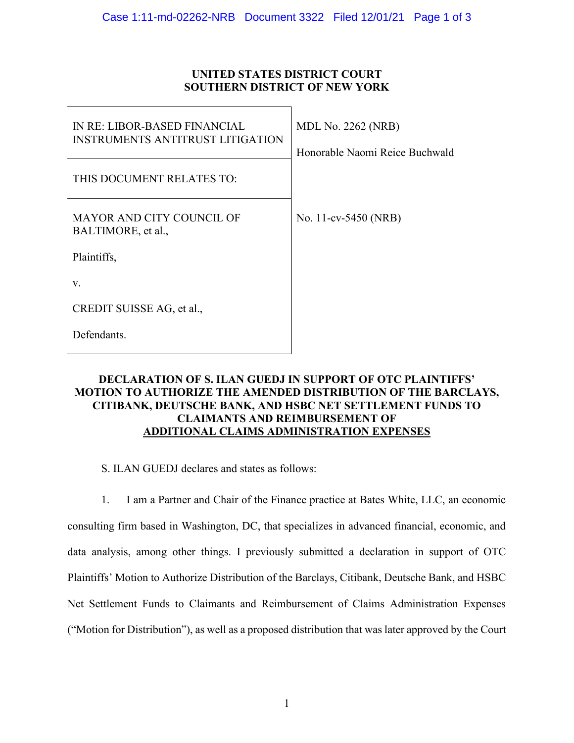## **UNITED STATES DISTRICT COURT SOUTHERN DISTRICT OF NEW YORK**

| IN RE: LIBOR-BASED FINANCIAL<br><b>INSTRUMENTS ANTITRUST LITIGATION</b> | <b>MDL No. 2262 (NRB)</b><br>Honorable Naomi Reice Buchwald |
|-------------------------------------------------------------------------|-------------------------------------------------------------|
| THIS DOCUMENT RELATES TO:                                               |                                                             |
| MAYOR AND CITY COUNCIL OF<br>BALTIMORE, et al.,                         | No. 11-cv-5450 (NRB)                                        |
| Plaintiffs,                                                             |                                                             |
| V.                                                                      |                                                             |
| CREDIT SUISSE AG, et al.,                                               |                                                             |
| Defendants.                                                             |                                                             |

## **DECLARATION OF S. ILAN GUEDJ IN SUPPORT OF OTC PLAINTIFFS' MOTION TO AUTHORIZE THE AMENDED DISTRIBUTION OF THE BARCLAYS, CITIBANK, DEUTSCHE BANK, AND HSBC NET SETTLEMENT FUNDS TO CLAIMANTS AND REIMBURSEMENT OF ADDITIONAL CLAIMS ADMINISTRATION EXPENSES**

S. ILAN GUEDJ declares and states as follows:

1. I am a Partner and Chair of the Finance practice at Bates White, LLC, an economic consulting firm based in Washington, DC, that specializes in advanced financial, economic, and data analysis, among other things. I previously submitted a declaration in support of OTC Plaintiffs' Motion to Authorize Distribution of the Barclays, Citibank, Deutsche Bank, and HSBC Net Settlement Funds to Claimants and Reimbursement of Claims Administration Expenses ("Motion for Distribution"), as well as a proposed distribution that was later approved by the Court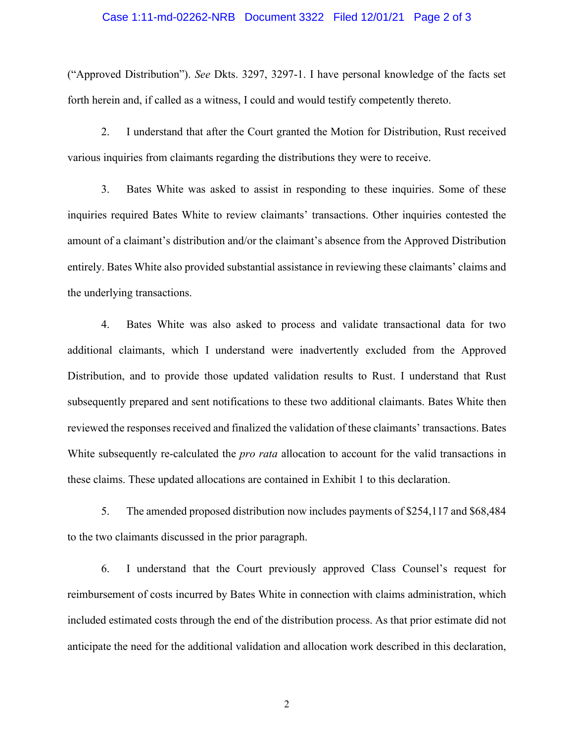## Case 1:11-md-02262-NRB Document 3322 Filed 12/01/21 Page 2 of 3

("Approved Distribution"). *See* Dkts. 3297, 3297-1. I have personal knowledge of the facts set forth herein and, if called as a witness, I could and would testify competently thereto.

2. I understand that after the Court granted the Motion for Distribution, Rust received various inquiries from claimants regarding the distributions they were to receive.

3. Bates White was asked to assist in responding to these inquiries. Some of these inquiries required Bates White to review claimants' transactions. Other inquiries contested the amount of a claimant's distribution and/or the claimant's absence from the Approved Distribution entirely. Bates White also provided substantial assistance in reviewing these claimants' claims and the underlying transactions.

4. Bates White was also asked to process and validate transactional data for two additional claimants, which I understand were inadvertently excluded from the Approved Distribution, and to provide those updated validation results to Rust. I understand that Rust subsequently prepared and sent notifications to these two additional claimants. Bates White then reviewed the responses received and finalized the validation of these claimants' transactions. Bates White subsequently re-calculated the *pro rata* allocation to account for the valid transactions in these claims. These updated allocations are contained in Exhibit 1 to this declaration.

5. The amended proposed distribution now includes payments of \$254,117 and \$68,484 to the two claimants discussed in the prior paragraph.

6. I understand that the Court previously approved Class Counsel's request for reimbursement of costs incurred by Bates White in connection with claims administration, which included estimated costs through the end of the distribution process. As that prior estimate did not anticipate the need for the additional validation and allocation work described in this declaration,

2